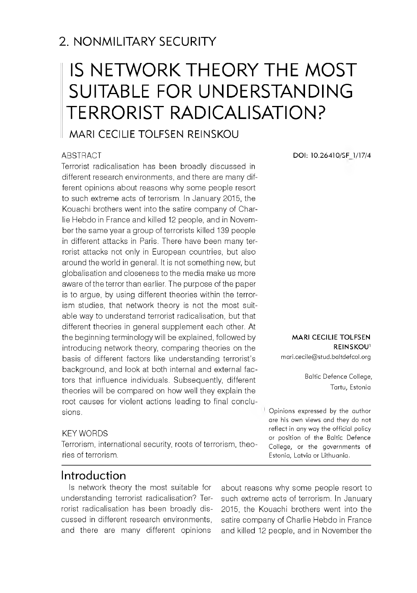# 2. NONMILITARY SECURITY

# IS NETWORK THEORY THE MOST SUITABLE FOR UNDERSTANDING TERRORIST RADICALISATION?

# MARI CECILIE TOLFSEN REINSKOU

#### ABSTRACT

Terrorist radicalisation has been broadly discussed in different research environments, and there are many different opinions about reasons why some people resort to such extreme acts of terrorism. In January 2015, the Kouachi brothers went into the satire company of Charlie Hebdo in France and killed 12 people, and in November the same year a group of terrorists killed 139 people in different attacks in Paris. There have been many terrorist attacks not only in European countries, but also around the world in general. It is not something new, but globalisation and closeness to the media make us more aware of the terror than earlier. The purpose of the paper is to argue, by using different theories within the terrorism studies, that network theory is not the most suitable way to understand terrorist radicalisation, but that different theories in general supplement each other. At the beginning terminology will be explained, followed by introducing network theory, comparing theories on the basis of different factors like understanding terrorist's background, and look at both internal and external factors that influence individuals. Subsequently, different theories will be compared on how well they explain the root causes for violent actions leading to final conclusions.

#### KEY WORDS

Terrorism, international security, roots of terrorism, theories of terrorism.

**DOI: 10.26410/SF 1/17/4**

**M ARI CECILIE TOLFSEN REINSKOU1**

[m ari.cecile@ stud.baltdefcol.org](mailto:mari.cecile@stud.baltdefcol.org)

Baltic Defence College, Tartu, Estonia

Opinions expressed by the author are his own views and they do not reflect in any way the official policy or position of the Baltic Defence College, or the governments of Estonia, Latvia or Lithuania.

#### Introduction

Is network theory the most suitable for understanding terrorist radicalisation? Terrorist radicalisation has been broadly discussed in different research environments, and there are many different opinions

about reasons why some people resort to such extreme acts of terrorism. In January 2015, the Kouachi brothers went into the satire company of Charlie Hebdo in France and killed 12 people, and in November the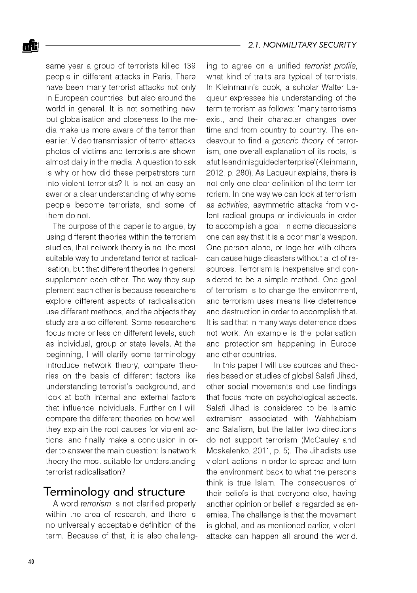same year a group of terrorists killed 139 people in different attacks in Paris. There have been many terrorist attacks not only in European countries, but also around the world in general. It is not something new, but globalisation and closeness to the media make us more aware of the terror than earlier. Video transmission of terror attacks, photos of victims and terrorists are shown almost daily in the media. A question to ask is why or how did these perpetrators turn into violent terrorists? It is not an easy answer or a clear understanding of why some people become terrorists, and some of them do not.

The purpose of this paper is to argue, by using different theories within the terrorism studies, that network theory is not the most suitable way to understand terrorist radicalisation, but that different theories in general supplement each other. The way they supplement each other is because researchers explore different aspects of radicalisation, use different methods, and the objects they study are also different. Some researchers focus more or less on different levels, such as individual, group or state levels. At the beginning, I will clarify some terminology, introduce network theory, compare theories on the basis of different factors like understanding terrorist's background, and look at both internal and external factors that influence individuals. Further on I will compare the different theories on how well they explain the root causes for violent actions, and finally make a conclusion in order to answer the main question: Is network theory the most suitable for understanding terrorist radicalisation?

## Terminology and structure

A word *terrorism* is not clarified properly within the area of research, and there is no universally acceptable definition of the term. Because of that, it is also challenging to agree on a unified *terrorist profile,* what kind of traits are typical of terrorists. In Kleinmann's book, a scholar Walter Laqueur expresses his understanding of the term terrorism as follows: 'many terrorisms exist, and their character changes over time and from country to country. The endeavour to find a *generic theory* of terrorism, one overall explanation of its roots, is afutile and misguidedenterprise'(Kleinmann, 2012, p. 280). As Laqueur explains, there is not only one clear definition of the term terrorism. In one way we can look at terrorism as *activities,* asymmetric attacks from violent radical groups or individuals in order to accomplish a goal. In some discussions one can say that it is a poor man's weapon. One person alone, or together with others can cause huge disasters without a lot of resources. Terrorism is inexpensive and considered to be a simple method. One goal of terrorism is to change the environment, and terrorism uses means like deterrence and destruction in order to accomplish that. It is sad that in many ways deterrence does not work. An example is the polarisation and protectionism happening in Europe and other countries.

In this paper I will use sources and theories based on studies of global Salafi Jihad, other social movements and use findings that focus more on psychological aspects. Salafi Jihad is considered to be Islamic extremism associated with Wahhabism and Salafism, but the latter two directions do not support terrorism (McCauley and Moskalenko, 2011, p. 5). The Jihadists use violent actions in order to spread and turn the environment back to what the persons think is true Islam. The consequence of their beliefs is that everyone else, having another opinion or belief is regarded as enemies. The challenge is that the movement is global, and as mentioned earlier, violent attacks can happen all around the world.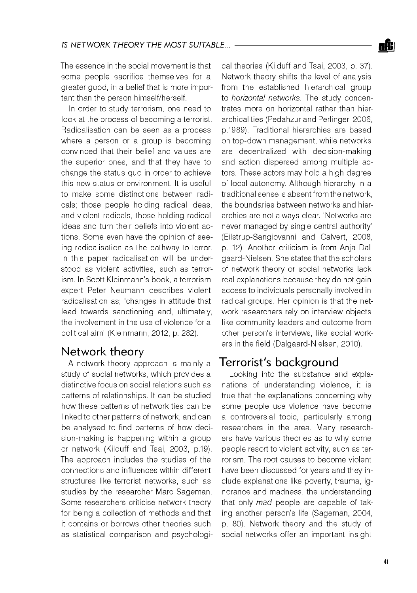The essence in the social movement is that some people sacrifice themselves for a greater good, in a belief that is more important than the person himself/herself.

In order to study terrorism, one need to look at the process of becoming a terrorist. Radicalisation can be seen as a process where a person or a group is becoming convinced that their belief and values are the superior ones, and that they have to change the status quo in order to achieve this new status or environment. It is useful to make some distinctions between radicals; those people holding radical ideas, and violent radicals, those holding radical ideas and turn their beliefs into violent actions. Some even have the opinion of seeing radicalisation as the pathway to terror. In this paper radicalisation will be understood as violent activities, such as terrorism. In Scott Kleinmann's book, a terrorism expert Peter Neumann describes violent radicalisation as; 'changes in attitude that lead towards sanctioning and, ultimately, the involvement in the use of violence for a political aim' (Kleinmann, 2012, p. 282).

#### Network theory

A network theory approach is mainly a study of social networks, which provides a distinctive focus on social relations such as patterns of relationships. It can be studied how these patterns of network ties can be linked to other patterns of network, and can be analysed to find patterns of how decision-making is happening within a group or network (Kilduff and Tsai, 2003, p.19). The approach includes the studies of the connections and influences within different structures like terrorist networks, such as studies by the researcher Marc Sageman. Some researchers criticise network theory for being a collection of methods and that it contains or borrows other theories such as statistical comparison and psychological theories (Kilduff and Tsai, 2003, p. 37). Network theory shifts the level of analysis from the established hierarchical group to *horizontal networks*. The study concentrates more on horizontal rather than hierarchical ties (Pedahzur and Perlinger, 2006, p.1989). Traditional hierarchies are based on top-down management, while networks are decentralized with decision-making and action dispersed among multiple actors. These actors may hold a high degree of local autonomy. Although hierarchy in a traditional sense is absent from the network, the boundaries between networks and hierarchies are not always clear. 'Networks are never managed by single central authority' (Eilstrup-Sangiovanni and Calvert, 2008, p. 12). Another criticism is from Anja Dalgaard-Nielsen. She states that the scholars of network theory or social networks lack real explanations because they do not gain access to individuals personally involved in radical groups. Her opinion is that the network researchers rely on interview objects like community leaders and outcome from other person's interviews, like social workers in the field (Dalgaard-Nielsen, 2010).

## Terrorist's background

Looking into the substance and explanations of understanding violence, it is true that the explanations concerning why some people use violence have become a controversial topic, particularly among researchers in the area. Many researchers have various theories as to why some people resort to violent activity, such as terrorism. The root causes to become violent have been discussed for years and they include explanations like poverty, trauma, ignorance and madness, the understanding that only *mad* people are capable of taking another person's life (Sageman, 2004, p. 80). Network theory and the study of social networks offer an important insight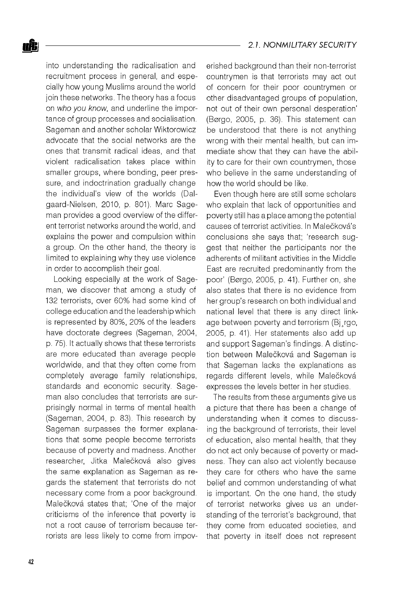into understanding the radicalisation and recruitment process in general, and especially how young Muslims around the world join these networks. The theory has a focus on *who you know,* and underline the importance of group processes and socialisation. Sageman and another scholar Wiktorowicz advocate that the social networks are the ones that transmit radical ideas, and that violent radicalisation takes place within smaller groups, where bonding, peer pressure, and indoctrination gradually change the individual's view of the worlds (Dalgaard-Nielsen, 2010, p. 801). Marc Sageman provides a good overview of the different terrorist networks around the world, and explains the power and compulsion within a group. On the other hand, the theory is limited to explaining why they use violence in order to accomplish their goal.

Looking especially at the work of Sageman, we discover that among a study of 132 terrorists, over 60% had some kind of college education and the leadership which is represented by 80%, 20% of the leaders have doctorate degrees (Sageman, 2004, p. 75). It actually shows that these terrorists are more educated than average people worldwide, and that they often come from completely average family relationships, standards and economic security. Sageman also concludes that terrorists are surprisingly normal in terms of mental health (Sageman, 2004, p. 83). This research by Sageman surpasses the former explanations that some people become terrorists because of poverty and madness. Another researcher, Jitka Malečková also gives the same explanation as Sageman as regards the statement that terrorists do not necessary come from a poor background. Malečková states that; 'One of the major criticisms of the inference that poverty is not a root cause of terrorism because terrorists are less likely to come from impoverished background than their non-terrorist countrymen is that terrorists may act out of concern for their poor countrymen or other disadvantaged groups of population, not out of their own personal desperation' (Borgo, 2005, p. 36). This statement can be understood that there is not anything wrong with their mental health, but can immediate show that they can have the ability to care for their own countrymen, those who believe in the same understanding of how the world should be like.

Even though here are still some scholars who explain that lack of opportunities and poverty still has a place among the potential causes of terrorist activities. In Malečková's conclusions she says that; 'research suggest that neither the participants nor the adherents of militant activities in the Middle East are recruited predominantly from the poor' (Borgo, 2005, p. 41). Further on, she also states that there is no evidence from her group's research on both individual and national level that there is any direct linkage between poverty and terrorism (Bi rgo, 2005, p. 41). Her statements also add up and support Sageman's findings. A distinction between Malečková and Sageman is that Sageman lacks the explanations as regards different levels, while Malečková expresses the levels better in her studies.

The results from these arguments give us a picture that there has been a change of understanding when it comes to discussing the background of terrorists, their level of education, also mental health, that they do not act only because of poverty or madness. They can also act violently because they care for others who have the same belief and common understanding of what is important. On the one hand, the study of terrorist networks gives us an understanding of the terrorist's background, that they come from educated societies, and that poverty in itself does not represent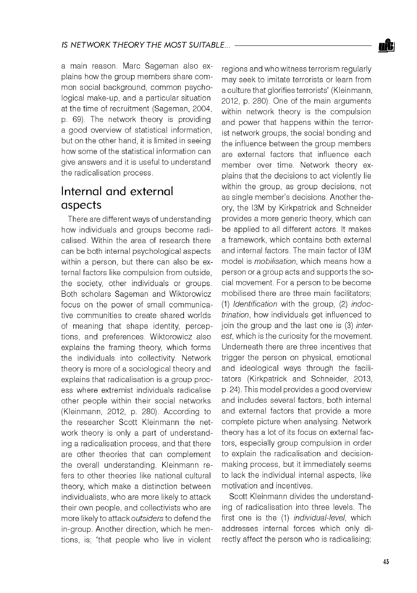a main reason. Marc Sageman also explains how the group members share common social background, common psychological make-up, and a particular situation at the time of recruitment (Sageman, 2004, p. 69). The network theory is providing a good overview of statistical information, but on the other hand, it is limited in seeing how some of the statistical information can give answers and it is useful to understand the radicalisation process.

# Internal and external aspects

There are different ways of understanding how individuals and groups become radicalised. Within the area of research there can be both internal psychological aspects within a person, but there can also be external factors like compulsion from outside, the society, other individuals or groups. Both scholars Sageman and Wiktorowicz focus on the power of small communicative communities to create shared worlds of meaning that shape identity, perceptions, and preferences. Wiktorowicz also explains the framing theory, which forms the individuals into collectivity. Network theory is more of a sociological theory and explains that radicalisation is a group process where extremist individuals radicalise other people within their social networks (Kleinmann, 2012, p. 280). According to the researcher Scott Kleinmann the network theory is only a part of understanding a radicalisation process, and that there are other theories that can complement the overall understanding. Kleinmann refers to other theories like national cultural theory, which make a distinction between individualists, who are more likely to attack their own people, and collectivists who are more likely to attack *outsiders* to defend the in-group. Another direction, which he mentions, is; 'that people who live in violent

regions and who witness terrorism regularly may seek to imitate terrorists or learn from a culture that glorifies terrorists' (Kleinmann, 2012, p. 280). One of the main arguments within network theory is the compulsion and power that happens within the terrorist network groups, the social bonding and the influence between the group members are external factors that influence each member over time. Network theory explains that the decisions to act violently lie within the group, as group decisions, not as single member's decisions. Another theory, the I3M by Kirkpatrick and Schneider provides a more generic theory, which can be applied to all different actors. It makes a framework, which contains both external and internal factors. The main factor of I3M model is *mobilisation,* which means how a person or a group acts and supports the social movement. For a person to be become mobilised there are three main facilitators; (1) *Identification* with the group, (2) *indoctrination,* how individuals get influenced to join the group and the last one is (3) *interest,* which is the curiosity for the movement. Underneath there are three incentives that trigger the person on physical, emotional and ideological ways through the facilitators (Kirkpatrick and Schneider, 2013, p. 24). This model provides a good overview and includes several factors, both internal and external factors that provide a more complete picture when analysing. Network theory has a lot of its focus on external factors, especially group compulsion in order to explain the radicalisation and decisionmaking process, but it immediately seems to lack the individual internal aspects, like motivation and incentives.

Scott Kleinmann divides the understanding of radicalisation into three levels. The first one is the (1) *individual-level,* which addresses internal forces which only directly affect the person who is radicalising;

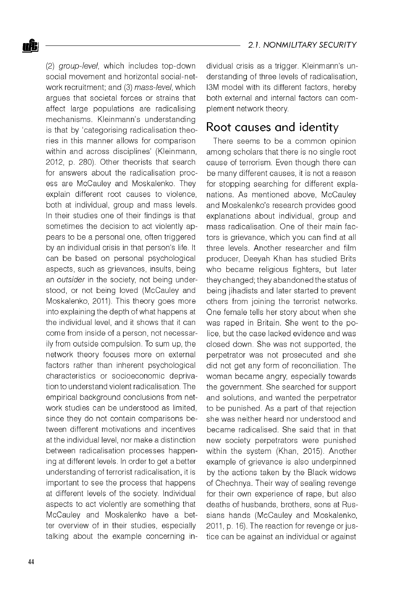(2) *group-level,* which includes top-down social movement and horizontal social-network recruitment; and (3) *mass-level,* which argues that societal forces or strains that affect large populations are radicalising mechanisms. Kleinmann's understanding is that by 'categorising radicalisation theories in this manner allows for comparison within and across disciplines' (Kleinmann, 2012, p. 280). Other theorists that search for answers about the radicalisation process are McCauley and Moskalenko. They explain different root causes to violence, both at individual, group and mass levels. In their studies one of their findings is that sometimes the decision to act violently appears to be a personal one, often triggered by an individual crisis in that person's life. It can be based on personal psychological aspects, such as grievances, insults, being an *outsider* in the society, not being understood, or not being loved (McCauley and Moskalenko, 2011). This theory goes more into explaining the depth of what happens at the individual level, and it shows that it can come from inside of a person, not necessarily from outside compulsion. To sum up, the network theory focuses more on external factors rather than inherent psychological characteristics or socioeconomic deprivation to understand violent radicalisation. The empirical background conclusions from network studies can be understood as limited, since they do not contain comparisons between different motivations and incentives at the individual level, nor make a distinction between radicalisation processes happening at different levels. In order to get a better understanding of terrorist radicalisation, it is important to see the process that happens at different levels of the society. Individual aspects to act violently are something that McCauley and Moskalenko have a better overview of in their studies, especially talking about the example concerning individual crisis as a trigger. Kleinmann's understanding of three levels of radicalisation, I3M model with its different factors, hereby both external and internal factors can complement network theory.

# Root causes and identity

There seems to be a common opinion among scholars that there is no single root cause of terrorism. Even though there can be many different causes, it is not a reason for stopping searching for different explanations. As mentioned above, McCauley and Moskalenko's research provides good explanations about individual, group and mass radicalisation. One of their main factors is grievance, which you can find at all three levels. Another researcher and film producer, Deeyah Khan has studied Brits who became religious fighters, but later they changed; they abandoned the status of being jihadists and later started to prevent others from joining the terrorist networks. One female tells her story about when she was raped in Britain. She went to the police, but the case lacked evidence and was closed down. She was not supported, the perpetrator was not prosecuted and she did not get any form of reconciliation. The woman became angry, especially towards the government. She searched for support and solutions, and wanted the perpetrator to be punished. As a part of that rejection she was neither heard nor understood and became radicalised. She said that in that new society perpetrators were punished within the system (Khan, 2015). Another example of grievance is also underpinned by the actions taken by the Black widows of Chechnya. Their way of sealing revenge for their own experience of rape, but also deaths of husbands, brothers, sons at Russians hands (McCauley and Moskalenko, 2011, p. 16). The reaction for revenge or justice can be against an individual or against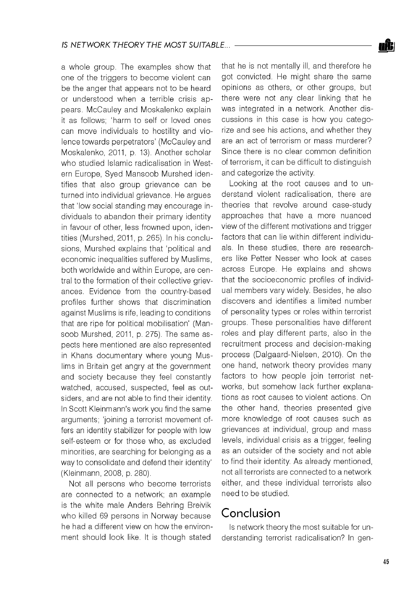a whole group. The examples show that one of the triggers to become violent can be the anger that appears not to be heard or understood when a terrible crisis appears. McCauley and Moskalenko explain it as follows; 'harm to self or loved ones can move individuals to hostility and violence towards perpetrators' (McCauley and Moskalenko, 2011, p. 13). Another scholar who studied Islamic radicalisation in Western Europe, Syed Mansoob Murshed identifies that also group grievance can be turned into individual grievance. He argues that 'low social standing may encourage individuals to abandon their primary identity in favour of other, less frowned upon, identities (Murshed, 2011, p. 265). In his conclusions, Murshed explains that 'political and economic inequalities suffered by Muslims, both worldwide and within Europe, are central to the formation of their collective grievances. Evidence from the country-based profiles further shows that discrimination against Muslims is rife, leading to conditions that are ripe for political mobilisation' (Mansoob Murshed, 2011, p. 275). The same aspects here mentioned are also represented in Khans documentary where young Muslims in Britain get angry at the government and society because they feel constantly watched, accused, suspected, feel as outsiders, and are not able to find their identity. In Scott Kleinmann's work you find the same arguments; 'joining a terrorist movement offers an identity stabilizer for people with low self-esteem or for those who, as excluded minorities, are searching for belonging as a way to consolidate and defend their identity' (Kleinmann, 2008, p. 280).

Not all persons who become terrorists are connected to a network; an example is the white male Anders Behring Breivik who killed 69 persons in Norway because he had a different view on how the environment should look like. It is though stated

that he is not mentally ill, and therefore he got convicted. He might share the same opinions as others, or other groups, but there were not any clear linking that he was integrated in a network. Another discussions in this case is how you categorize and see his actions, and whether they are an act of terrorism or mass murderer? Since there is no clear common definition of terrorism, it can be difficult to distinguish and categorize the activity.

Looking at the root causes and to understand violent radicalisation, there are theories that revolve around case-study approaches that have a more nuanced view of the different motivations and trigger factors that can lie within different individuals. In these studies, there are researchers like Petter Nesser who look at cases across Europe. He explains and shows that the socioeconomic profiles of individual members vary widely. Besides, he also discovers and identifies a limited number of personality types or roles within terrorist groups. These personalities have different roles and play different parts, also in the recruitment process and decision-making process (Dalgaard-Nielsen, 2010). On the one hand, network theory provides many factors to how people join terrorist networks, but somehow lack further explanations as root causes to violent actions. On the other hand, theories presented give more knowledge of root causes such as grievances at individual, group and mass levels, individual crisis as a trigger, feeling as an outsider of the society and not able to find their identity. As already mentioned, not all terrorists are connected to a network either, and these individual terrorists also need to be studied.

## Conclusion

Is network theory the most suitable for understanding terrorist radicalisation? In gen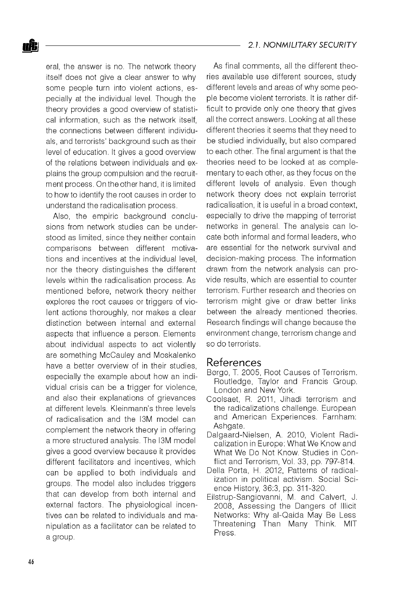eral, the answer is no. The network theory itself does not give a clear answer to why some people turn into violent actions, especially at the individual level. Though the theory provides a good overview of statistical information, such as the network itself, the connections between different individuals, and terrorists' background such as their level of education. It gives a good overview of the relations between individuals and explains the group compulsion and the recruitment process. On the other hand, it is limited to how to identify the root causes in order to understand the radicalisation process.

Also, the empiric background conclusions from network studies can be understood as limited, since they neither contain comparisons between different motivations and incentives at the individual level, nor the theory distinguishes the different levels within the radicalisation process. As mentioned before, network theory neither explores the root causes or triggers of violent actions thoroughly, nor makes a clear distinction between internal and external aspects that influence a person. Elements about individual aspects to act violently are something McCauley and Moskalenko have a better overview of in their studies, especially the example about how an individual crisis can be a trigger for violence, and also their explanations of grievances at different levels. Kleinmann's three levels of radicalisation and the I3M model can complement the network theory in offering a more structured analysis. The I3M model gives a good overview because it provides different facilitators and incentives, which can be applied to both individuals and groups. The model also includes triggers that can develop from both internal and external factors. The physiological incentives can be related to individuals and manipulation as a facilitator can be related to a group.

As final comments, all the different theories available use different sources, study different levels and areas of why some people become violent terrorists. It is rather difficult to provide only one theory that gives all the correct answers. Looking at all these different theories it seems that they need to be studied individually, but also compared to each other. The final argument is that the theories need to be looked at as complementary to each other, as they focus on the different levels of analysis. Even though network theory does not explain terrorist radicalisation, it is useful in a broad context, especially to drive the mapping of terrorist networks in general. The analysis can locate both informal and formal leaders, who are essential for the network survival and decision-making process. The information drawn from the network analysis can provide results, which are essential to counter terrorism. Further research and theories on terrorism might give or draw better links between the already mentioned theories. Research findings will change because the environment change, terrorism change and so do terrorists.

#### References

- B0rgo, T. 2005, Root Causes of Terrorism. Routledge, Taylor and Francis Group. London and New York.
- Coolsaet, R. 2011, Jihadi terrorism and the radicalizations challenge. European and American Experiences. Farnham: Ashqate.
- Dalgaard-Nielsen, A. 2010, Violent Radicalization in Europe: What We Know and What We Do Not Know. Studies in Conflict and Terrorism, Vol. 33, pp. 797-814.
- Della Porta, H. 2012, Patterns of radicalization in political activism. Social Science History, 36:3, pp. 311-320.
- Eilstrup-Sangiovanni, M. and Calvert, J. 2008, Assessing the Dangers of Illicit Networks: Why al-Qaida May Be Less Threatening Than Many Think. MIT Press.